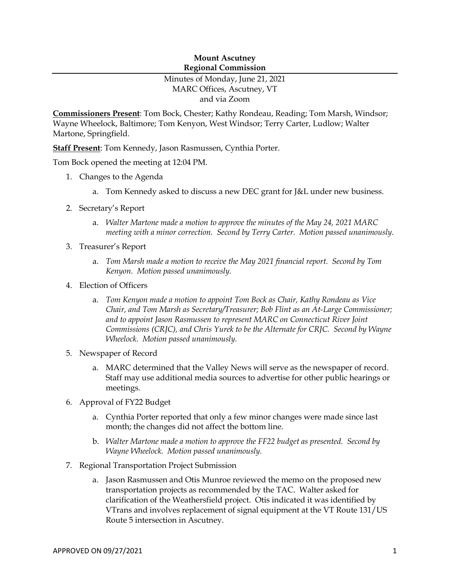### **Mount Ascutney Regional Commission**

# Minutes of Monday, June 21, 2021 MARC Offices, Ascutney, VT and via Zoom

**Commissioners Present**: Tom Bock, Chester; Kathy Rondeau, Reading; Tom Marsh, Windsor; Wayne Wheelock, Baltimore; Tom Kenyon, West Windsor; Terry Carter, Ludlow; Walter Martone, Springfield.

**Staff Present**: Tom Kennedy, Jason Rasmussen, Cynthia Porter.

Tom Bock opened the meeting at 12:04 PM.

- 1. Changes to the Agenda
	- a. Tom Kennedy asked to discuss a new DEC grant for J&L under new business.
- 2. Secretary's Report
	- a. *Walter Martone made a motion to approve the minutes of the May 24, 2021 MARC meeting with a minor correction. Second by Terry Carter. Motion passed unanimously.*
- 3. Treasurer's Report
	- a. *Tom Marsh made a motion to receive the May 2021 financial report. Second by Tom Kenyon. Motion passed unanimously.*
- 4. Election of Officers
	- a. *Tom Kenyon made a motion to appoint Tom Bock as Chair, Kathy Rondeau as Vice Chair, and Tom Marsh as Secretary/Treasurer; Bob Flint as an At-Large Commissioner; and to appoint Jason Rasmussen to represent MARC on Connecticut River Joint Commissions (CRJC), and Chris Yurek to be the Alternate for CRJC. Second by Wayne Wheelock. Motion passed unanimously.*
- 5. Newspaper of Record
	- a. MARC determined that the Valley News will serve as the newspaper of record. Staff may use additional media sources to advertise for other public hearings or meetings.
- 6. Approval of FY22 Budget
	- a. Cynthia Porter reported that only a few minor changes were made since last month; the changes did not affect the bottom line.
	- b. *Walter Martone made a motion to approve the FF22 budget as presented. Second by Wayne Wheelock. Motion passed unanimously.*
- 7. Regional Transportation Project Submission
	- a. Jason Rasmussen and Otis Munroe reviewed the memo on the proposed new transportation projects as recommended by the TAC. Walter asked for clarification of the Weathersfield project. Otis indicated it was identified by VTrans and involves replacement of signal equipment at the VT Route 131/US Route 5 intersection in Ascutney.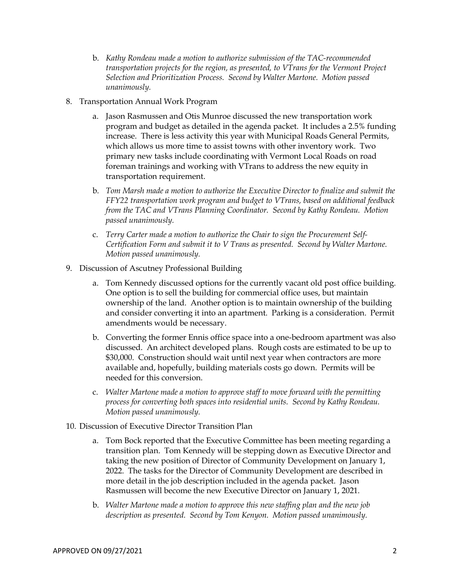- b. *Kathy Rondeau made a motion to authorize submission of the TAC-recommended transportation projects for the region, as presented, to VTrans for the Vermont Project Selection and Prioritization Process. Second by Walter Martone. Motion passed unanimously.*
- 8. Transportation Annual Work Program
	- a. Jason Rasmussen and Otis Munroe discussed the new transportation work program and budget as detailed in the agenda packet. It includes a 2.5% funding increase. There is less activity this year with Municipal Roads General Permits, which allows us more time to assist towns with other inventory work. Two primary new tasks include coordinating with Vermont Local Roads on road foreman trainings and working with VTrans to address the new equity in transportation requirement.
	- b. *Tom Marsh made a motion to authorize the Executive Director to finalize and submit the FFY22 transportation work program and budget to VTrans, based on additional feedback from the TAC and VTrans Planning Coordinator. Second by Kathy Rondeau. Motion passed unanimously.*
	- c. *Terry Carter made a motion to authorize the Chair to sign the Procurement Self-Certification Form and submit it to V Trans as presented. Second by Walter Martone. Motion passed unanimously.*
- 9. Discussion of Ascutney Professional Building
	- a. Tom Kennedy discussed options for the currently vacant old post office building. One option is to sell the building for commercial office uses, but maintain ownership of the land. Another option is to maintain ownership of the building and consider converting it into an apartment. Parking is a consideration. Permit amendments would be necessary.
	- b. Converting the former Ennis office space into a one-bedroom apartment was also discussed. An architect developed plans. Rough costs are estimated to be up to \$30,000. Construction should wait until next year when contractors are more available and, hopefully, building materials costs go down. Permits will be needed for this conversion.
	- c. *Walter Martone made a motion to approve staff to move forward with the permitting process for converting both spaces into residential units. Second by Kathy Rondeau. Motion passed unanimously.*
- 10. Discussion of Executive Director Transition Plan
	- a. Tom Bock reported that the Executive Committee has been meeting regarding a transition plan. Tom Kennedy will be stepping down as Executive Director and taking the new position of Director of Community Development on January 1, 2022. The tasks for the Director of Community Development are described in more detail in the job description included in the agenda packet. Jason Rasmussen will become the new Executive Director on January 1, 2021.
	- b. *Walter Martone made a motion to approve this new staffing plan and the new job description as presented. Second by Tom Kenyon. Motion passed unanimously.*